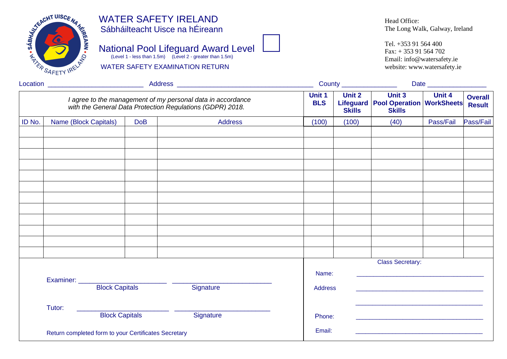

### WATER SAFETY IRELAND Sábháilteacht Uisce na hÉireann

WATER SAFETY EXAMINATION RETURN

# National Pool Lifeguard Award Level



Head Office: The Long Walk, Galway, Ireland

Tel. +353 91 564 400 Fax: + 353 91 564 702 Email: info@watersafety.ie website: www.watersafety.ie

|        | Location ______________________________              |                       |  |                                                                                                                          |  |  |                      | County ________________ | Date                                                                       |           |                                 |  |
|--------|------------------------------------------------------|-----------------------|--|--------------------------------------------------------------------------------------------------------------------------|--|--|----------------------|-------------------------|----------------------------------------------------------------------------|-----------|---------------------------------|--|
|        |                                                      |                       |  | I agree to the management of my personal data in accordance<br>with the General Data Protection Regulations (GDPR) 2018. |  |  | Unit 1<br><b>BLS</b> | Unit 2<br><b>Skills</b> | <b>Unit 3</b><br>Lifeguard   Pool Operation   WorkSheets <br><b>Skills</b> | Unit 4    | <b>Overall</b><br><b>Result</b> |  |
| ID No. | Name (Block Capitals)                                | <b>DoB</b>            |  | Address                                                                                                                  |  |  | (100)                | (100)                   | (40)                                                                       | Pass/Fail | Pass/Fail                       |  |
|        |                                                      |                       |  |                                                                                                                          |  |  |                      |                         |                                                                            |           |                                 |  |
|        |                                                      |                       |  |                                                                                                                          |  |  |                      |                         |                                                                            |           |                                 |  |
|        |                                                      |                       |  |                                                                                                                          |  |  |                      |                         |                                                                            |           |                                 |  |
|        |                                                      |                       |  |                                                                                                                          |  |  |                      |                         |                                                                            |           |                                 |  |
|        |                                                      |                       |  |                                                                                                                          |  |  |                      |                         |                                                                            |           |                                 |  |
|        |                                                      |                       |  |                                                                                                                          |  |  |                      |                         |                                                                            |           |                                 |  |
|        |                                                      |                       |  |                                                                                                                          |  |  |                      |                         |                                                                            |           |                                 |  |
|        |                                                      |                       |  |                                                                                                                          |  |  |                      |                         |                                                                            |           |                                 |  |
|        |                                                      |                       |  |                                                                                                                          |  |  |                      |                         |                                                                            |           |                                 |  |
|        |                                                      |                       |  |                                                                                                                          |  |  |                      |                         | <b>Class Secretary:</b>                                                    |           |                                 |  |
|        |                                                      |                       |  |                                                                                                                          |  |  | Name:                |                         | <u> 1989 - Johann Stoff, Amerikaansk politiker († 1908)</u>                |           |                                 |  |
|        |                                                      | <b>Block Capitals</b> |  | Signature                                                                                                                |  |  | <b>Address</b>       |                         |                                                                            |           |                                 |  |
|        | Tutor:                                               |                       |  |                                                                                                                          |  |  |                      |                         |                                                                            |           |                                 |  |
|        |                                                      | <b>Block Capitals</b> |  | Signature                                                                                                                |  |  | Phone:               |                         |                                                                            |           |                                 |  |
|        | Return completed form to your Certificates Secretary |                       |  |                                                                                                                          |  |  | Email:               |                         |                                                                            |           |                                 |  |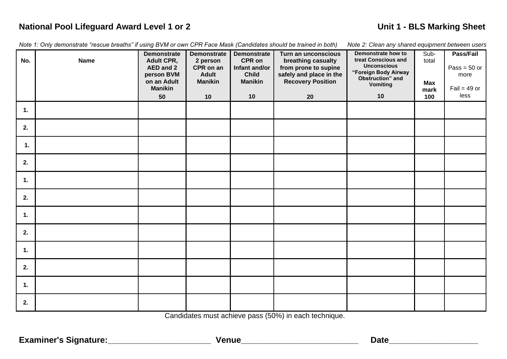## **National Pool Lifeguard Award Level 1 or 2 <br>
<b>National Pool Lifeguard Award Level 1 or 2 <br>
and the contract of the contract of the Unit 1 - BLS Marking Sheet**

| Note 1: Only demonstrate "rescue breaths" if using BVM or own CPR Face Mask (Candidates should be trained in both) |  |  |  |  |  |  |  |  |  |  |  |  |  |  |
|--------------------------------------------------------------------------------------------------------------------|--|--|--|--|--|--|--|--|--|--|--|--|--|--|
|--------------------------------------------------------------------------------------------------------------------|--|--|--|--|--|--|--|--|--|--|--|--|--|--|

*Note 2: Clean any shared equipment between users* 

| No.            | <b>Name</b> | <b>Demonstrate</b><br><b>Adult CPR,</b><br>AED and 2<br>person BVM<br>on an Adult<br><b>Manikin</b> | <b>Demonstrate</b><br>2 person<br>CPR on an<br><b>Adult</b><br><b>Manikin</b> | <b>Demonstrate</b><br>CPR on<br>Infant and/or<br><b>Child</b><br><b>Manikin</b><br>10 | Turn an unconscious<br>breathing casualty<br>from prone to supine<br>safely and place in the<br><b>Recovery Position</b> | Demonstrate how to<br>treat Conscious and<br><b>Unconscious</b><br>"Foreign Body Airway<br>Obstruction" and<br><b>Vomiting</b><br>10 | Sub-<br>total<br><b>Max</b><br>mark | Pass/Fail<br>Pass = $50$ or<br>more<br>Fail = $49$ or<br>less |
|----------------|-------------|-----------------------------------------------------------------------------------------------------|-------------------------------------------------------------------------------|---------------------------------------------------------------------------------------|--------------------------------------------------------------------------------------------------------------------------|--------------------------------------------------------------------------------------------------------------------------------------|-------------------------------------|---------------------------------------------------------------|
| $\mathbf{1}$ . |             | 50                                                                                                  | 10                                                                            |                                                                                       | 20                                                                                                                       |                                                                                                                                      | 100                                 |                                                               |
| 2.             |             |                                                                                                     |                                                                               |                                                                                       |                                                                                                                          |                                                                                                                                      |                                     |                                                               |
| 1.             |             |                                                                                                     |                                                                               |                                                                                       |                                                                                                                          |                                                                                                                                      |                                     |                                                               |
| 2.             |             |                                                                                                     |                                                                               |                                                                                       |                                                                                                                          |                                                                                                                                      |                                     |                                                               |
| $\mathbf{1}$ . |             |                                                                                                     |                                                                               |                                                                                       |                                                                                                                          |                                                                                                                                      |                                     |                                                               |
| 2.             |             |                                                                                                     |                                                                               |                                                                                       |                                                                                                                          |                                                                                                                                      |                                     |                                                               |
| $\mathbf{1}$ . |             |                                                                                                     |                                                                               |                                                                                       |                                                                                                                          |                                                                                                                                      |                                     |                                                               |
| 2.             |             |                                                                                                     |                                                                               |                                                                                       |                                                                                                                          |                                                                                                                                      |                                     |                                                               |
| $\mathbf{1}$ . |             |                                                                                                     |                                                                               |                                                                                       |                                                                                                                          |                                                                                                                                      |                                     |                                                               |
| 2.             |             |                                                                                                     |                                                                               |                                                                                       |                                                                                                                          |                                                                                                                                      |                                     |                                                               |
| $\mathbf{1}$ . |             |                                                                                                     |                                                                               |                                                                                       |                                                                                                                          |                                                                                                                                      |                                     |                                                               |
| 2.             |             |                                                                                                     |                                                                               |                                                                                       |                                                                                                                          |                                                                                                                                      |                                     |                                                               |

Candidates must achieve pass (50%) in each technique.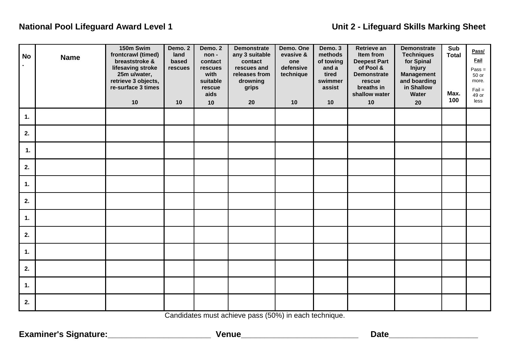### **National Pool Lifeguard Award Level 1 Unit 2 - Lifeguard Skills Marking Sheet**

| <b>No</b> | <b>Name</b> | 150m Swim<br>frontcrawl (timed)<br>breaststroke &<br>lifesaving stroke<br>25m u/water,<br>retrieve 3 objects,<br>re-surface 3 times<br>10 | Demo. 2<br>land<br>based<br>rescues<br>10 | Demo. 2<br>non-<br>contact<br>rescues<br>with<br>suitable<br>rescue<br>aids<br>10 | <b>Demonstrate</b><br>any 3 suitable<br>contact<br>rescues and<br>releases from<br>drowning<br>grips<br>20 | Demo. One<br>evasive &<br>one<br>defensive<br>technique<br>10 | Demo. 3<br>methods<br>of towing<br>and a<br>tired<br>swimmer<br>assist<br>10 | Retrieve an<br>Item from<br><b>Deepest Part</b><br>of Pool &<br><b>Demonstrate</b><br>rescue<br>breaths in<br>shallow water<br>10 | <b>Demonstrate</b><br><b>Techniques</b><br>for Spinal<br><b>Injury</b><br><b>Management</b><br>and boarding<br>in Shallow<br><b>Water</b><br>20 | Sub<br><b>Total</b><br>Max.<br>100 | Pass/<br><b>Fail</b><br>$Pass =$<br>50 or<br>more.<br>$Fail =$<br>49 or<br>less |
|-----------|-------------|-------------------------------------------------------------------------------------------------------------------------------------------|-------------------------------------------|-----------------------------------------------------------------------------------|------------------------------------------------------------------------------------------------------------|---------------------------------------------------------------|------------------------------------------------------------------------------|-----------------------------------------------------------------------------------------------------------------------------------|-------------------------------------------------------------------------------------------------------------------------------------------------|------------------------------------|---------------------------------------------------------------------------------|
| 1.        |             |                                                                                                                                           |                                           |                                                                                   |                                                                                                            |                                                               |                                                                              |                                                                                                                                   |                                                                                                                                                 |                                    |                                                                                 |
| 2.        |             |                                                                                                                                           |                                           |                                                                                   |                                                                                                            |                                                               |                                                                              |                                                                                                                                   |                                                                                                                                                 |                                    |                                                                                 |
| 1.        |             |                                                                                                                                           |                                           |                                                                                   |                                                                                                            |                                                               |                                                                              |                                                                                                                                   |                                                                                                                                                 |                                    |                                                                                 |
| 2.        |             |                                                                                                                                           |                                           |                                                                                   |                                                                                                            |                                                               |                                                                              |                                                                                                                                   |                                                                                                                                                 |                                    |                                                                                 |
| 1.        |             |                                                                                                                                           |                                           |                                                                                   |                                                                                                            |                                                               |                                                                              |                                                                                                                                   |                                                                                                                                                 |                                    |                                                                                 |
| 2.        |             |                                                                                                                                           |                                           |                                                                                   |                                                                                                            |                                                               |                                                                              |                                                                                                                                   |                                                                                                                                                 |                                    |                                                                                 |
| 1.        |             |                                                                                                                                           |                                           |                                                                                   |                                                                                                            |                                                               |                                                                              |                                                                                                                                   |                                                                                                                                                 |                                    |                                                                                 |
| 2.        |             |                                                                                                                                           |                                           |                                                                                   |                                                                                                            |                                                               |                                                                              |                                                                                                                                   |                                                                                                                                                 |                                    |                                                                                 |
| 1.        |             |                                                                                                                                           |                                           |                                                                                   |                                                                                                            |                                                               |                                                                              |                                                                                                                                   |                                                                                                                                                 |                                    |                                                                                 |
| 2.        |             |                                                                                                                                           |                                           |                                                                                   |                                                                                                            |                                                               |                                                                              |                                                                                                                                   |                                                                                                                                                 |                                    |                                                                                 |
| 1.        |             |                                                                                                                                           |                                           |                                                                                   |                                                                                                            |                                                               |                                                                              |                                                                                                                                   |                                                                                                                                                 |                                    |                                                                                 |
| 2.        |             |                                                                                                                                           |                                           |                                                                                   |                                                                                                            |                                                               |                                                                              |                                                                                                                                   |                                                                                                                                                 |                                    |                                                                                 |

Candidates must achieve pass (50%) in each technique.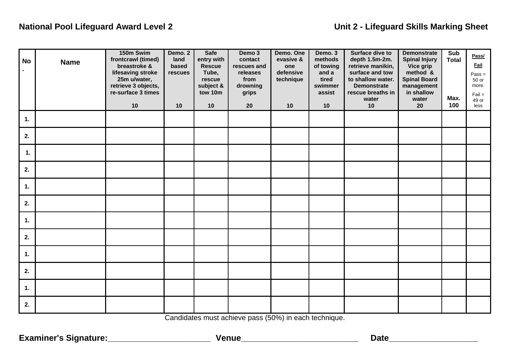## **National Pool Lifeguard Award Level 2** Unit 2 - Lifeguard Skills Marking Sheet

| <b>No</b>      | <b>Name</b> | 150m Swim<br>frontcrawl (timed)<br>breastroke &<br>lifesaving stroke<br>25m u/water,<br>retrieve 3 objects,<br>re-surface 3 times<br>10 | Demo. 2<br>land<br>based<br>rescues<br>10 | <b>Safe</b><br>entry with<br><b>Rescue</b><br>Tube,<br>rescue<br>subject &<br>tow 10m<br>10 | Demo 3<br>contact<br>rescues and<br>releases<br>from<br>drowning<br>grips<br>20 | Demo. One<br>evasive &<br>one<br>defensive<br>technique<br>10 | Demo. 3<br>methods<br>of towing<br>and a<br>tired<br>swimmer<br>assist<br>10 | Surface dive to<br>depth 1.5m-2m.<br>retrieve manikin,<br>surface and tow<br>to shallow water.<br><b>Demonstrate</b><br>rescue breaths in<br>water<br>10 | <b>Demonstrate</b><br><b>Spinal Injury</b><br>Vice grip<br>method &<br><b>Spinal Board</b><br>management<br>in shallow<br>water<br>20 | Sub<br><b>Total</b><br>Max.<br>100 | Pass/<br><b>Fail</b><br>$Pass =$<br>50 or<br>more.<br>$Fail =$<br>49 or<br>less |
|----------------|-------------|-----------------------------------------------------------------------------------------------------------------------------------------|-------------------------------------------|---------------------------------------------------------------------------------------------|---------------------------------------------------------------------------------|---------------------------------------------------------------|------------------------------------------------------------------------------|----------------------------------------------------------------------------------------------------------------------------------------------------------|---------------------------------------------------------------------------------------------------------------------------------------|------------------------------------|---------------------------------------------------------------------------------|
| 1.             |             |                                                                                                                                         |                                           |                                                                                             |                                                                                 |                                                               |                                                                              |                                                                                                                                                          |                                                                                                                                       |                                    |                                                                                 |
| 2.             |             |                                                                                                                                         |                                           |                                                                                             |                                                                                 |                                                               |                                                                              |                                                                                                                                                          |                                                                                                                                       |                                    |                                                                                 |
| $\mathbf{1}$ . |             |                                                                                                                                         |                                           |                                                                                             |                                                                                 |                                                               |                                                                              |                                                                                                                                                          |                                                                                                                                       |                                    |                                                                                 |
| 2.             |             |                                                                                                                                         |                                           |                                                                                             |                                                                                 |                                                               |                                                                              |                                                                                                                                                          |                                                                                                                                       |                                    |                                                                                 |
| 1.             |             |                                                                                                                                         |                                           |                                                                                             |                                                                                 |                                                               |                                                                              |                                                                                                                                                          |                                                                                                                                       |                                    |                                                                                 |
| 2.             |             |                                                                                                                                         |                                           |                                                                                             |                                                                                 |                                                               |                                                                              |                                                                                                                                                          |                                                                                                                                       |                                    |                                                                                 |
| 1.             |             |                                                                                                                                         |                                           |                                                                                             |                                                                                 |                                                               |                                                                              |                                                                                                                                                          |                                                                                                                                       |                                    |                                                                                 |
| 2.             |             |                                                                                                                                         |                                           |                                                                                             |                                                                                 |                                                               |                                                                              |                                                                                                                                                          |                                                                                                                                       |                                    |                                                                                 |
| 1.             |             |                                                                                                                                         |                                           |                                                                                             |                                                                                 |                                                               |                                                                              |                                                                                                                                                          |                                                                                                                                       |                                    |                                                                                 |
| 2.             |             |                                                                                                                                         |                                           |                                                                                             |                                                                                 |                                                               |                                                                              |                                                                                                                                                          |                                                                                                                                       |                                    |                                                                                 |
| 1.             |             |                                                                                                                                         |                                           |                                                                                             |                                                                                 |                                                               |                                                                              |                                                                                                                                                          |                                                                                                                                       |                                    |                                                                                 |
| 2.             |             |                                                                                                                                         |                                           |                                                                                             |                                                                                 |                                                               |                                                                              |                                                                                                                                                          |                                                                                                                                       |                                    |                                                                                 |

Candidates must achieve pass (50%) in each technique.